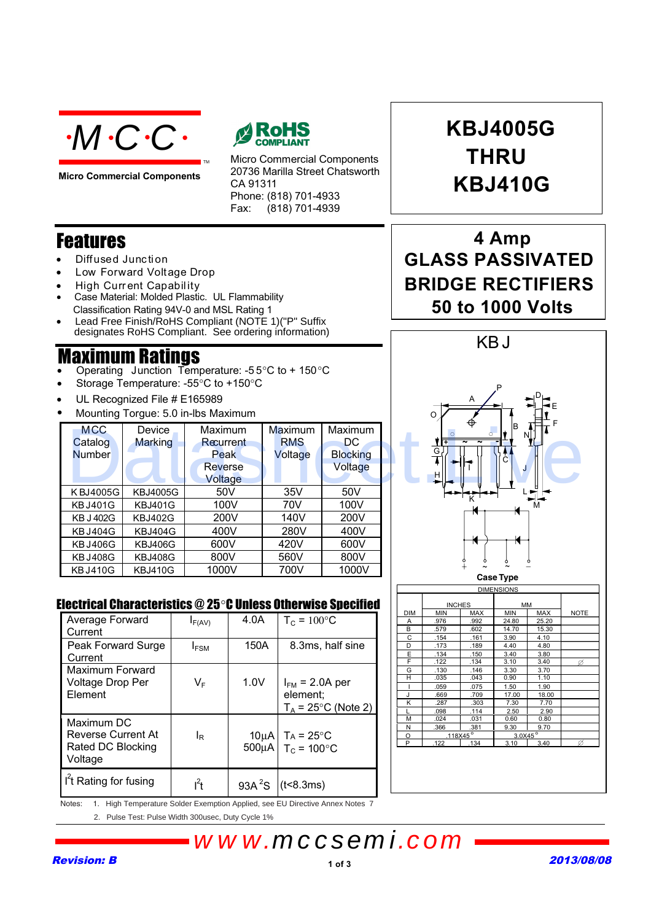

**Micro Commercial Components**



Micro Commercial Components 20736 Marilla Street Chatsworth CA 91311 Phone: (818) 701-4933 Fax:  $(818)$  701-4939

## Features

- Diffused Junc tion
- Low Forward Voltage Drop
- High Curr ent Capability
- Case Material: Molded Plastic. UL Flammability
- Classification Rating 94V-0 and MSL Rating 1
- Lead Free Finish/RoHS Compliant (NOTE 1)("P" Suffix designates RoHS Compliant. See ordering information)

TM

## Maximum Ratings

- Operating Junction Temperature: -5 5°C to + 1 50 °C
- Storage Temperature: -55°C to +150°C
- UL Recognized File # E165989
- Mounting Torgue: 5.0 in-lbs Maximum

| <b>MCC</b><br>Catalog<br><b>Number</b> | Device<br><b>Marking</b> | <b>Maximum</b><br>Recurrent<br>Peak<br><b>Reverse</b><br>Voltage | <b>Maximum</b><br><b>RMS</b><br>Voltage | <b>Maximum</b><br>DC.<br><b>Blocking</b><br>Voltage | ⊕<br>lв<br>NL.<br>$\circ$<br>ł<br>$\tilde{\phantom{a}}$<br>G.<br>HII |
|----------------------------------------|--------------------------|------------------------------------------------------------------|-----------------------------------------|-----------------------------------------------------|----------------------------------------------------------------------|
| KBJ4005G                               | <b>KBJ4005G</b>          | 50V                                                              | 35V                                     | 50V                                                 |                                                                      |
| <b>KBJ401G</b>                         | <b>KBJ401G</b>           | 100V                                                             | 70V                                     | 100V                                                | м                                                                    |
| <b>KB J 402G</b>                       | <b>KBJ402G</b>           | 200V                                                             | 140V                                    | 200V                                                |                                                                      |
| <b>KBJ404G</b>                         | <b>KBJ404G</b>           | 400V                                                             | 280V                                    | 400V                                                |                                                                      |
| <b>KBJ406G</b>                         | <b>KBJ406G</b>           | 600V                                                             | 420V                                    | 600V                                                |                                                                      |
| <b>KBJ408G</b>                         | <b>KBJ408G</b>           | 800V                                                             | 560V                                    | 800V                                                |                                                                      |
| <b>KBJ410G</b>                         | <b>KBJ410G</b>           | 1000V                                                            | 700V                                    | 1000V                                               |                                                                      |

#### Electrical Characteristics @ 25 °C Unless Otherwise Specified

| Average Forward<br>Current                                              | $I_{F(AV)}$      | 4.0A                            | $T_c = 100^{\circ}$ C                                    |
|-------------------------------------------------------------------------|------------------|---------------------------------|----------------------------------------------------------|
| Peak Forward Surge<br>Current                                           | <b>I</b> FSM     | 150A                            | 8.3ms, half sine                                         |
| Maximum Forward<br>Voltage Drop Per<br>Element                          | VF               | 1.0V                            | $I_{FM}$ = 2.0A per<br>element:<br>$T_A$ = 25°C (Note 2) |
| Maximum DC<br><b>Reverse Current At</b><br>Rated DC Blocking<br>Voltage | ΙR               | 10 <sub>u</sub> A<br>$500\mu$ A | $Ta = 25^{\circ}C$<br>$T_c = 100^{\circ}C$               |
| I't Rating for fusing                                                   | ı <sup>2</sup> t | 93A <sup>2</sup> S              | (t<8.3ms)                                                |



# **THRU KBJ410G KBJ4005G**

## **4 Amp GLASS PASSIVATED BRIDGE RECTIFIERS 50 to 1000 Volts**





2. Pulse Test: Pulse Width 300usec, Duty Cycle 1%

# *www.mccsemi.com*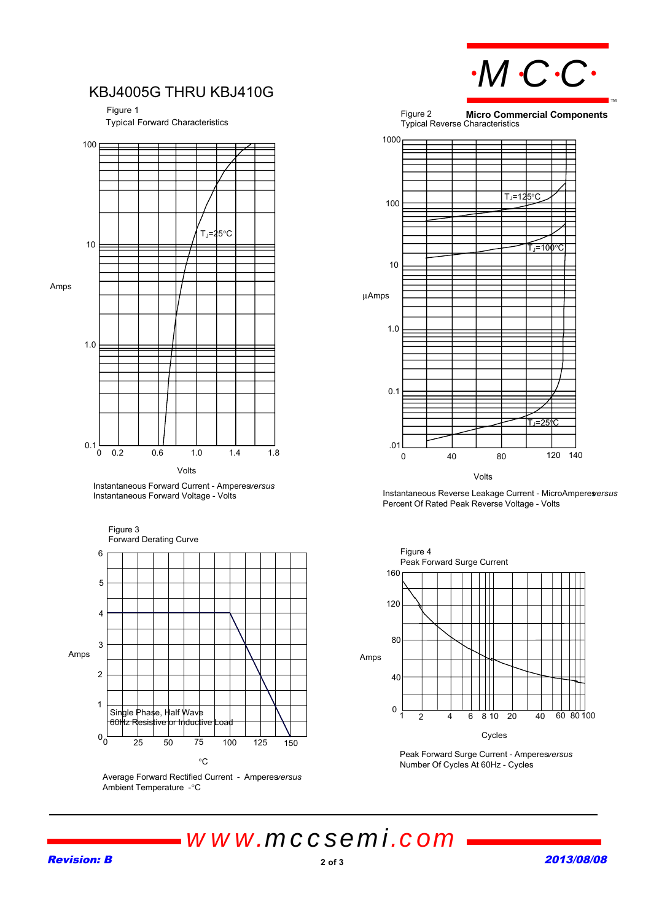

### KBJ4005G THRU KBJ410G

Figure 1

Typical Forward Characteristics



Instantaneous Forward Current - Amperes *versus* Instantaneous Forward Voltage - Volts



Average Forward Rectified Current - Amperes *versus* Ambient Temperature - °C



Volts

Instantaneous Reverse Leakage Current - MicroAmperesersus Percent Of Rated Peak Reverse Voltage - Volts



Peak Forward Surge Current - Amperesversus Number Of Cycles At 60Hz - Cycles

*www.mccsemi.com*